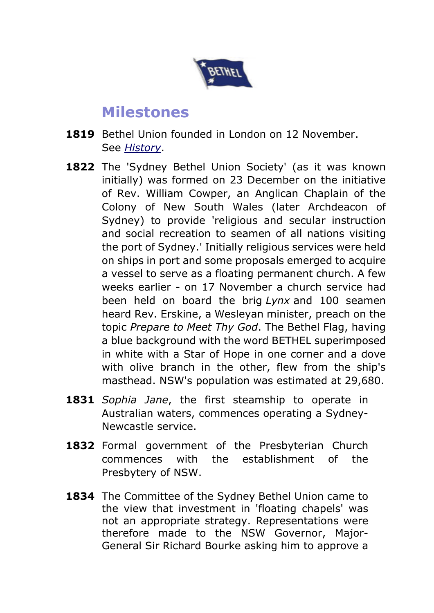

## **Milestones**

- **1819** Bethel Union founded in London on 12 November. See *History*.
- 1822 The 'Sydney Bethel Union Society' (as it was known initially) was formed on 23 December on the initiative of Rev. William Cowper, an Anglican Chaplain of the Colony of New South Wales (later Archdeacon of Sydney) to provide 'religious and secular instruction and social recreation to seamen of all nations visiting the port of Sydney.' Initially religious services were held on ships in port and some proposals emerged to acquire a vessel to serve as a floating permanent church. A few weeks earlier - on 17 November a church service had been held on board the brig *Lynx* and 100 seamen heard Rev. Erskine, a Wesleyan minister, preach on the topic *Prepare to Meet Thy God*. The Bethel Flag, having a blue background with the word BETHEL superimposed in white with a Star of Hope in one corner and a dove with olive branch in the other, flew from the ship's masthead. NSW's population was estimated at 29,680.
- **1831** *Sophia Jane*, the first steamship to operate in Australian waters, commences operating a Sydney-Newcastle service.
- **1832** Formal government of the Presbyterian Church commences with the establishment of the Presbytery of NSW.
- **1834** The Committee of the Sydney Bethel Union came to the view that investment in 'floating chapels' was not an appropriate strategy. Representations were therefore made to the NSW Governor, Major-General Sir Richard Bourke asking him to approve a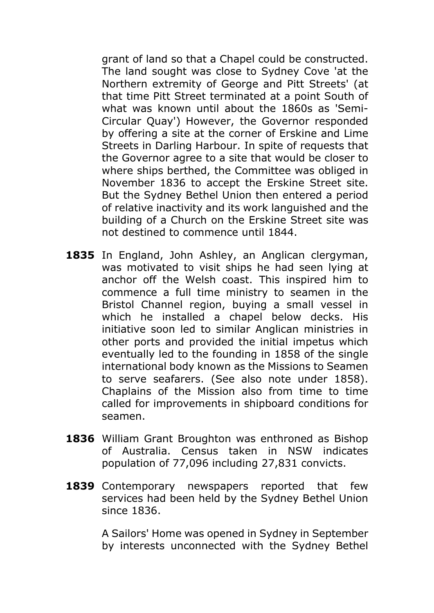grant of land so that a Chapel could be constructed. The land sought was close to Sydney Cove 'at the Northern extremity of George and Pitt Streets' (at that time Pitt Street terminated at a point South of what was known until about the 1860s as 'Semi-Circular Quay') However, the Governor responded by offering a site at the corner of Erskine and Lime Streets in Darling Harbour. In spite of requests that the Governor agree to a site that would be closer to where ships berthed, the Committee was obliged in November 1836 to accept the Erskine Street site. But the Sydney Bethel Union then entered a period of relative inactivity and its work languished and the building of a Church on the Erskine Street site was not destined to commence until 1844.

- **1835** In England, John Ashley, an Anglican clergyman, was motivated to visit ships he had seen lying at anchor off the Welsh coast. This inspired him to commence a full time ministry to seamen in the Bristol Channel region, buying a small vessel in which he installed a chapel below decks. His initiative soon led to similar Anglican ministries in other ports and provided the initial impetus which eventually led to the founding in 1858 of the single international body known as the Missions to Seamen to serve seafarers. (See also note under 1858). Chaplains of the Mission also from time to time called for improvements in shipboard conditions for seamen.
- **1836** William Grant Broughton was enthroned as Bishop of Australia. Census taken in NSW indicates population of 77,096 including 27,831 convicts.
- **1839** Contemporary newspapers reported that few services had been held by the Sydney Bethel Union since 1836.

A Sailors' Home was opened in Sydney in September by interests unconnected with the Sydney Bethel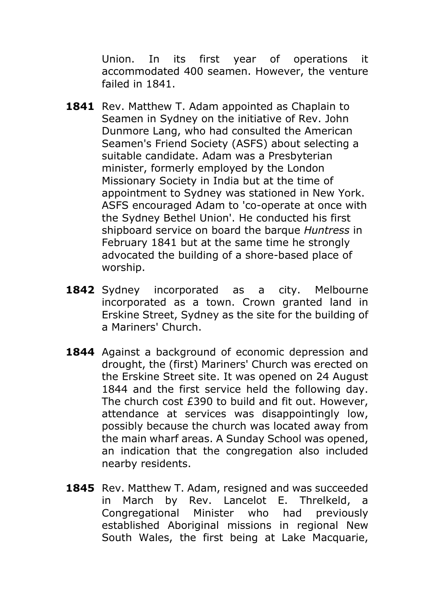Union. In its first year of operations it accommodated 400 seamen. However, the venture failed in 1841.

- 1841 Rev. Matthew T. Adam appointed as Chaplain to Seamen in Sydney on the initiative of Rev. John Dunmore Lang, who had consulted the American Seamen's Friend Society (ASFS) about selecting a suitable candidate. Adam was a Presbyterian minister, formerly employed by the London Missionary Society in India but at the time of appointment to Sydney was stationed in New York. ASFS encouraged Adam to 'co-operate at once with the Sydney Bethel Union'. He conducted his first shipboard service on board the barque *Huntress* in February 1841 but at the same time he strongly advocated the building of a shore-based place of worship.
- **1842** Sydney incorporated as a city. Melbourne incorporated as a town. Crown granted land in Erskine Street, Sydney as the site for the building of a Mariners' Church.
- **1844** Against a background of economic depression and drought, the (first) Mariners' Church was erected on the Erskine Street site. It was opened on 24 August 1844 and the first service held the following day. The church cost £390 to build and fit out. However, attendance at services was disappointingly low, possibly because the church was located away from the main wharf areas. A Sunday School was opened, an indication that the congregation also included nearby residents.
- **1845** Rev. Matthew T. Adam, resigned and was succeeded in March by Rev. Lancelot E. Threlkeld, a Congregational Minister who had previously established Aboriginal missions in regional New South Wales, the first being at Lake Macquarie,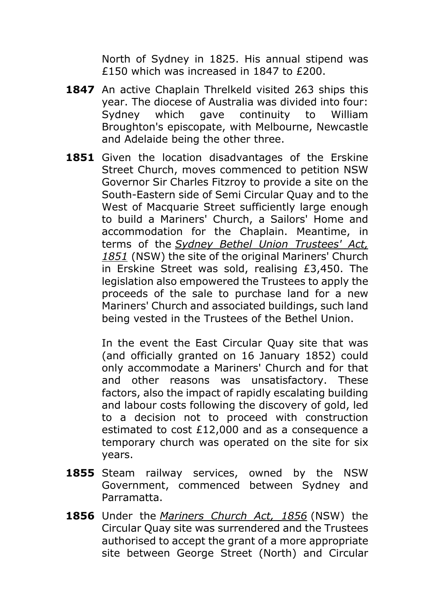North of Sydney in 1825. His annual stipend was £150 which was increased in 1847 to £200.

- **1847** An active Chaplain Threlkeld visited 263 ships this year. The diocese of Australia was divided into four: Sydney which gave continuity to William Broughton's episcopate, with Melbourne, Newcastle and Adelaide being the other three.
- **1851** Given the location disadvantages of the Erskine Street Church, moves commenced to petition NSW Governor Sir Charles Fitzroy to provide a site on the South-Eastern side of Semi Circular Quay and to the West of Macquarie Street sufficiently large enough to build a Mariners' Church, a Sailors' Home and accommodation for the Chaplain. Meantime, in terms of the *Sydney Bethel Union Trustees' Act,*  1851 (NSW) the site of the original Mariners' Church in Erskine Street was sold, realising £3,450. The legislation also empowered the Trustees to apply the proceeds of the sale to purchase land for a new Mariners' Church and associated buildings, such land being vested in the Trustees of the Bethel Union.

In the event the East Circular Quay site that was (and officially granted on 16 January 1852) could only accommodate a Mariners' Church and for that and other reasons was unsatisfactory. These factors, also the impact of rapidly escalating building and labour costs following the discovery of gold, led to a decision not to proceed with construction estimated to cost £12,000 and as a consequence a temporary church was operated on the site for six years.

- **1855** Steam railway services, owned by the NSW Government, commenced between Sydney and Parramatta.
- **1856** Under the *Mariners Church Act, 1856* (NSW) the Circular Quay site was surrendered and the Trustees authorised to accept the grant of a more appropriate site between George Street (North) and Circular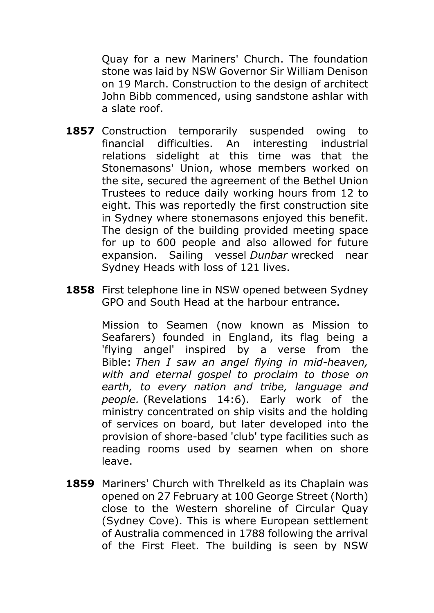Quay for a new Mariners' Church. The foundation stone was laid by NSW Governor Sir William Denison on 19 March. Construction to the design of architect John Bibb commenced, using sandstone ashlar with a slate roof.

- **1857** Construction temporarily suspended owing to financial difficulties. An interesting industrial relations sidelight at this time was that the Stonemasons' Union, whose members worked on the site, secured the agreement of the Bethel Union Trustees to reduce daily working hours from 12 to eight. This was reportedly the first construction site in Sydney where stonemasons enjoyed this benefit. The design of the building provided meeting space for up to 600 people and also allowed for future expansion. Sailing vessel *Dunbar* wrecked near Sydney Heads with loss of 121 lives.
- **1858** First telephone line in NSW opened between Sydney GPO and South Head at the harbour entrance.

Mission to Seamen (now known as Mission to Seafarers) founded in England, its flag being a 'flying angel' inspired by a verse from the Bible: *Then I saw an angel flying in mid-heaven, with and eternal gospel to proclaim to those on earth, to every nation and tribe, language and people.* (Revelations 14:6). Early work of the ministry concentrated on ship visits and the holding of services on board, but later developed into the provision of shore-based 'club' type facilities such as reading rooms used by seamen when on shore leave.

**1859** Mariners' Church with Threlkeld as its Chaplain was opened on 27 February at 100 George Street (North) close to the Western shoreline of Circular Quay (Sydney Cove). This is where European settlement of Australia commenced in 1788 following the arrival of the First Fleet. The building is seen by NSW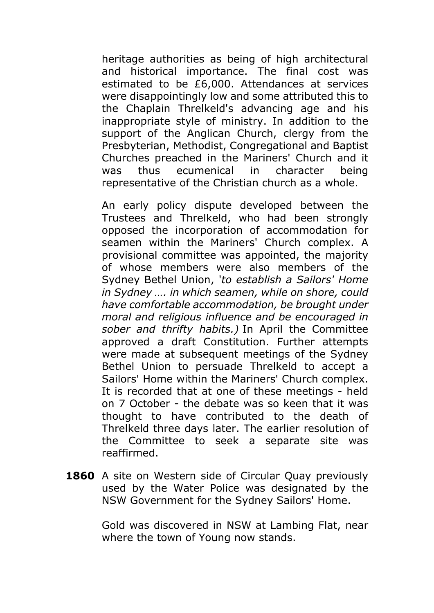heritage authorities as being of high architectural and historical importance. The final cost was estimated to be £6,000. Attendances at services were disappointingly low and some attributed this to the Chaplain Threlkeld's advancing age and his inappropriate style of ministry. In addition to the support of the Anglican Church, clergy from the Presbyterian, Methodist, Congregational and Baptist Churches preached in the Mariners' Church and it was thus ecumenical in character being representative of the Christian church as a whole.

An early policy dispute developed between the Trustees and Threlkeld, who had been strongly opposed the incorporation of accommodation for seamen within the Mariners' Church complex. A provisional committee was appointed, the majority of whose members were also members of the Sydney Bethel Union, '*to establish a Sailors' Home in Sydney …. in which seamen, while on shore, could have comfortable accommodation, be brought under moral and religious influence and be encouraged in sober and thrifty habits.)* In April the Committee approved a draft Constitution. Further attempts were made at subsequent meetings of the Sydney Bethel Union to persuade Threlkeld to accept a Sailors' Home within the Mariners' Church complex. It is recorded that at one of these meetings - held on 7 October - the debate was so keen that it was thought to have contributed to the death of Threlkeld three days later. The earlier resolution of the Committee to seek a separate site was reaffirmed.

**1860** A site on Western side of Circular Quay previously used by the Water Police was designated by the NSW Government for the Sydney Sailors' Home.

> Gold was discovered in NSW at Lambing Flat, near where the town of Young now stands.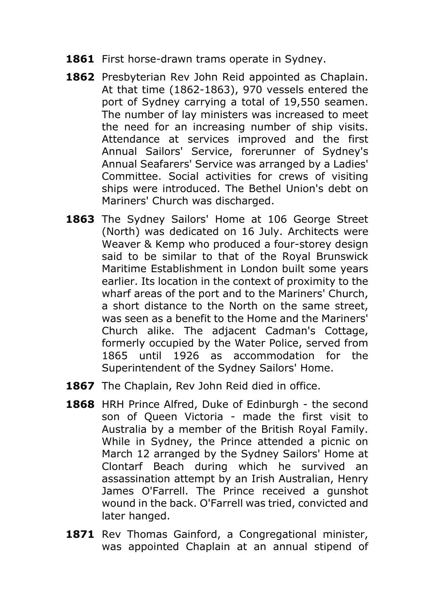- **1861** First horse-drawn trams operate in Sydney.
- **1862** Presbyterian Rev John Reid appointed as Chaplain. At that time (1862-1863), 970 vessels entered the port of Sydney carrying a total of 19,550 seamen. The number of lay ministers was increased to meet the need for an increasing number of ship visits. Attendance at services improved and the first Annual Sailors' Service, forerunner of Sydney's Annual Seafarers' Service was arranged by a Ladies' Committee. Social activities for crews of visiting ships were introduced. The Bethel Union's debt on Mariners' Church was discharged.
- 1863 The Sydney Sailors' Home at 106 George Street (North) was dedicated on 16 July. Architects were Weaver & Kemp who produced a four-storey design said to be similar to that of the Royal Brunswick Maritime Establishment in London built some years earlier. Its location in the context of proximity to the wharf areas of the port and to the Mariners' Church, a short distance to the North on the same street, was seen as a benefit to the Home and the Mariners' Church alike. The adjacent Cadman's Cottage, formerly occupied by the Water Police, served from 1865 until 1926 as accommodation for the Superintendent of the Sydney Sailors' Home.
- **1867** The Chaplain, Rev John Reid died in office.
- **1868** HRH Prince Alfred, Duke of Edinburgh the second son of Queen Victoria - made the first visit to Australia by a member of the British Royal Family. While in Sydney, the Prince attended a picnic on March 12 arranged by the Sydney Sailors' Home at Clontarf Beach during which he survived an assassination attempt by an Irish Australian, Henry James O'Farrell. The Prince received a gunshot wound in the back. O'Farrell was tried, convicted and later hanged.
- 1871 Rev Thomas Gainford, a Congregational minister, was appointed Chaplain at an annual stipend of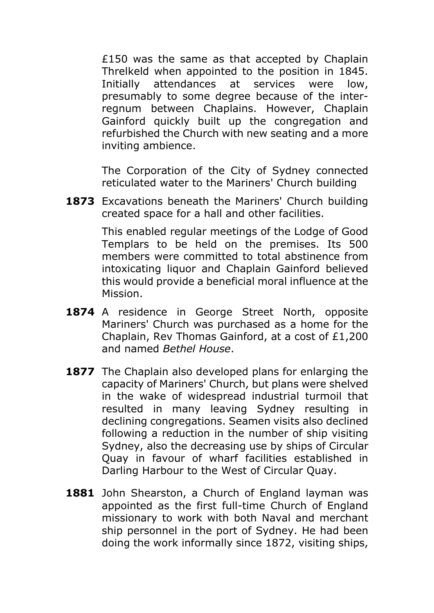£150 was the same as that accepted by Chaplain Threlkeld when appointed to the position in 1845. Initially attendances at services were low, presumably to some degree because of the interregnum between Chaplains. However, Chaplain Gainford quickly built up the congregation and refurbished the Church with new seating and a more inviting ambience.

The Corporation of the City of Sydney connected reticulated water to the Mariners' Church building

**1873** Excavations beneath the Mariners' Church building created space for a hall and other facilities.

> This enabled regular meetings of the Lodge of Good Templars to be held on the premises. Its 500 members were committed to total abstinence from intoxicating liquor and Chaplain Gainford believed this would provide a beneficial moral influence at the Mission.

- 1874 A residence in George Street North, opposite Mariners' Church was purchased as a home for the Chaplain, Rev Thomas Gainford, at a cost of £1,200 and named *Bethel House*.
- **1877** The Chaplain also developed plans for enlarging the capacity of Mariners' Church, but plans were shelved in the wake of widespread industrial turmoil that resulted in many leaving Sydney resulting in declining congregations. Seamen visits also declined following a reduction in the number of ship visiting Sydney, also the decreasing use by ships of Circular Quay in favour of wharf facilities established in Darling Harbour to the West of Circular Quay.
- **1881** John Shearston, a Church of England layman was appointed as the first full-time Church of England missionary to work with both Naval and merchant ship personnel in the port of Sydney. He had been doing the work informally since 1872, visiting ships,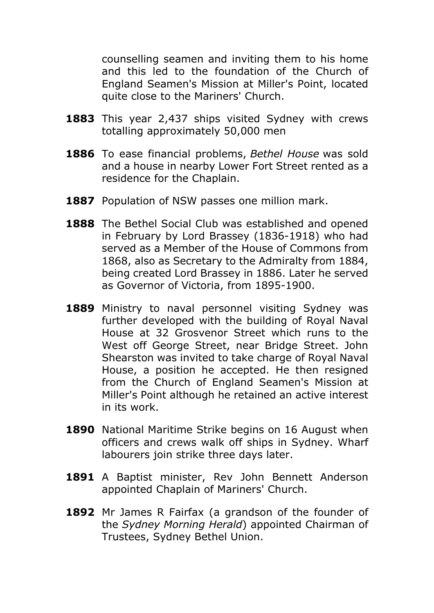counselling seamen and inviting them to his home and this led to the foundation of the Church of England Seamen's Mission at Miller's Point, located quite close to the Mariners' Church.

- **1883** This year 2,437 ships visited Sydney with crews totalling approximately 50,000 men
- **1886** To ease financial problems, *Bethel House* was sold and a house in nearby Lower Fort Street rented as a residence for the Chaplain.
- **1887** Population of NSW passes one million mark.
- **1888** The Bethel Social Club was established and opened in February by Lord Brassey (1836-1918) who had served as a Member of the House of Commons from 1868, also as Secretary to the Admiralty from 1884, being created Lord Brassey in 1886. Later he served as Governor of Victoria, from 1895-1900.
- 1889 Ministry to naval personnel visiting Sydney was further developed with the building of Royal Naval House at 32 Grosvenor Street which runs to the West off George Street, near Bridge Street. John Shearston was invited to take charge of Royal Naval House, a position he accepted. He then resigned from the Church of England Seamen's Mission at Miller's Point although he retained an active interest in its work.
- **1890** National Maritime Strike begins on 16 August when officers and crews walk off ships in Sydney. Wharf labourers join strike three days later.
- **1891** A Baptist minister, Rev John Bennett Anderson appointed Chaplain of Mariners' Church.
- **1892** Mr James R Fairfax (a grandson of the founder of the *Sydney Morning Herald*) appointed Chairman of Trustees, Sydney Bethel Union.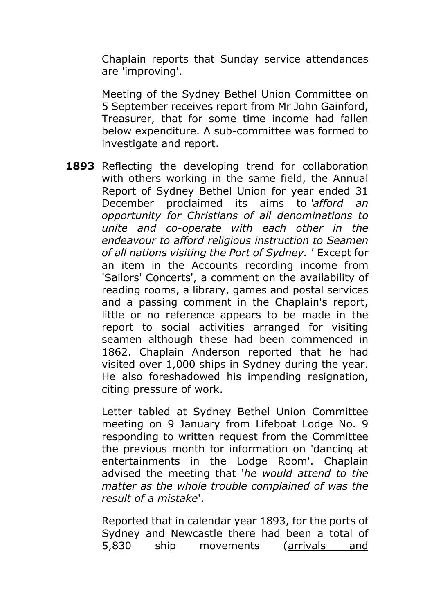Chaplain reports that Sunday service attendances are 'improving'.

Meeting of the Sydney Bethel Union Committee on 5 September receives report from Mr John Gainford, Treasurer, that for some time income had fallen below expenditure. A sub-committee was formed to investigate and report.

1893 Reflecting the developing trend for collaboration with others working in the same field, the Annual Report of Sydney Bethel Union for year ended 31 December proclaimed its aims to *'afford an opportunity for Christians of all denominations to unite and co-operate with each other in the endeavour to afford religious instruction to Seamen of all nations visiting the Port of Sydney. '* Except for an item in the Accounts recording income from 'Sailors' Concerts', a comment on the availability of reading rooms, a library, games and postal services and a passing comment in the Chaplain's report, little or no reference appears to be made in the report to social activities arranged for visiting seamen although these had been commenced in 1862. Chaplain Anderson reported that he had visited over 1,000 ships in Sydney during the year. He also foreshadowed his impending resignation, citing pressure of work.

> Letter tabled at Sydney Bethel Union Committee meeting on 9 January from Lifeboat Lodge No. 9 responding to written request from the Committee the previous month for information on 'dancing at entertainments in the Lodge Room'. Chaplain advised the meeting that '*he would attend to the matter as the whole trouble complained of was the result of a mistake*'.

> Reported that in calendar year 1893, for the ports of Sydney and Newcastle there had been a total of 5,830 ship movements (arrivals and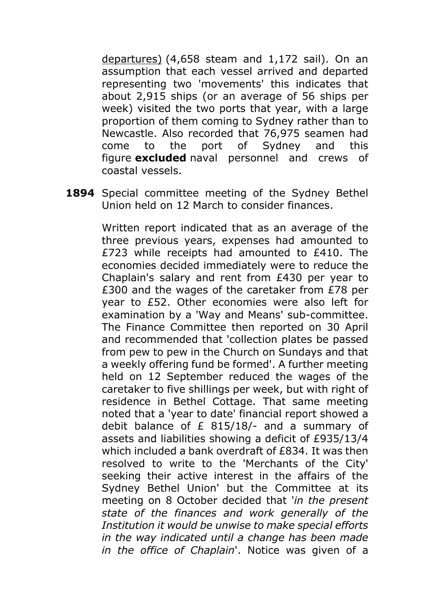departures) (4,658 steam and 1,172 sail). On an assumption that each vessel arrived and departed representing two 'movements' this indicates that about 2,915 ships (or an average of 56 ships per week) visited the two ports that year, with a large proportion of them coming to Sydney rather than to Newcastle. Also recorded that 76,975 seamen had come to the port of Sydney and this figure **excluded** naval personnel and crews of coastal vessels.

**1894** Special committee meeting of the Sydney Bethel Union held on 12 March to consider finances.

> Written report indicated that as an average of the three previous years, expenses had amounted to £723 while receipts had amounted to £410. The economies decided immediately were to reduce the Chaplain's salary and rent from £430 per year to £300 and the wages of the caretaker from £78 per year to £52. Other economies were also left for examination by a 'Way and Means' sub-committee. The Finance Committee then reported on 30 April and recommended that 'collection plates be passed from pew to pew in the Church on Sundays and that a weekly offering fund be formed'. A further meeting held on 12 September reduced the wages of the caretaker to five shillings per week, but with right of residence in Bethel Cottage. That same meeting noted that a 'year to date' financial report showed a debit balance of £ 815/18/- and a summary of assets and liabilities showing a deficit of £935/13/4 which included a bank overdraft of £834. It was then resolved to write to the 'Merchants of the City' seeking their active interest in the affairs of the Sydney Bethel Union' but the Committee at its meeting on 8 October decided that '*in the present state of the finances and work generally of the Institution it would be unwise to make special efforts in the way indicated until a change has been made in the office of Chaplain*'. Notice was given of a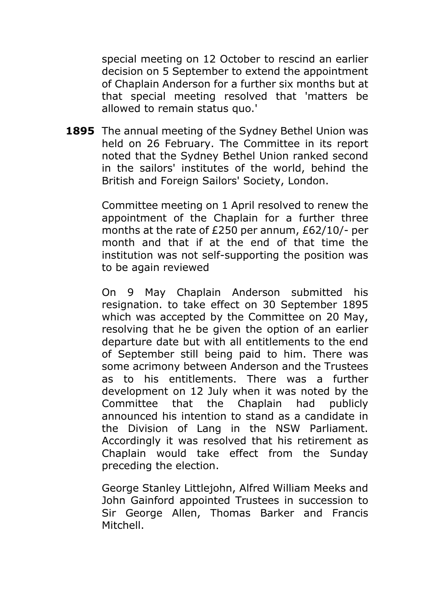special meeting on 12 October to rescind an earlier decision on 5 September to extend the appointment of Chaplain Anderson for a further six months but at that special meeting resolved that 'matters be allowed to remain status quo.'

**1895** The annual meeting of the Sydney Bethel Union was held on 26 February. The Committee in its report noted that the Sydney Bethel Union ranked second in the sailors' institutes of the world, behind the British and Foreign Sailors' Society, London.

> Committee meeting on 1 April resolved to renew the appointment of the Chaplain for a further three months at the rate of £250 per annum, £62/10/- per month and that if at the end of that time the institution was not self-supporting the position was to be again reviewed

> On 9 May Chaplain Anderson submitted his resignation. to take effect on 30 September 1895 which was accepted by the Committee on 20 May, resolving that he be given the option of an earlier departure date but with all entitlements to the end of September still being paid to him. There was some acrimony between Anderson and the Trustees as to his entitlements. There was a further development on 12 July when it was noted by the Committee that the Chaplain had publicly announced his intention to stand as a candidate in the Division of Lang in the NSW Parliament. Accordingly it was resolved that his retirement as Chaplain would take effect from the Sunday preceding the election.

> George Stanley Littlejohn, Alfred William Meeks and John Gainford appointed Trustees in succession to Sir George Allen, Thomas Barker and Francis Mitchell.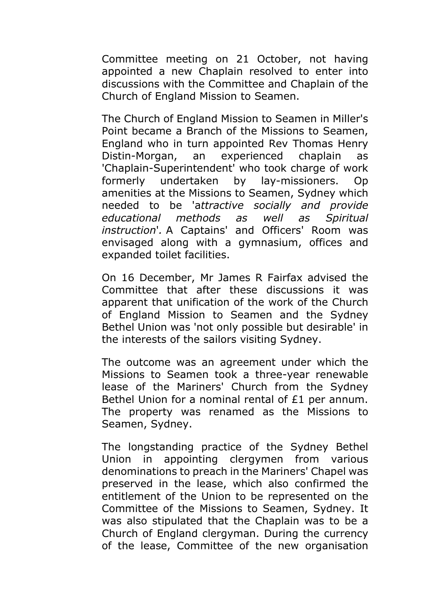Committee meeting on 21 October, not having appointed a new Chaplain resolved to enter into discussions with the Committee and Chaplain of the Church of England Mission to Seamen.

The Church of England Mission to Seamen in Miller's Point became a Branch of the Missions to Seamen, England who in turn appointed Rev Thomas Henry Distin-Morgan, an experienced chaplain as 'Chaplain-Superintendent' who took charge of work formerly undertaken by lay-missioners. Op amenities at the Missions to Seamen, Sydney which needed to be 'a*ttractive socially and provide educational methods as well as Spiritual instruction*'*.* A Captains' and Officers' Room was envisaged along with a gymnasium, offices and expanded toilet facilities.

On 16 December, Mr James R Fairfax advised the Committee that after these discussions it was apparent that unification of the work of the Church of England Mission to Seamen and the Sydney Bethel Union was 'not only possible but desirable' in the interests of the sailors visiting Sydney.

The outcome was an agreement under which the Missions to Seamen took a three-year renewable lease of the Mariners' Church from the Sydney Bethel Union for a nominal rental of £1 per annum. The property was renamed as the Missions to Seamen, Sydney.

The longstanding practice of the Sydney Bethel Union in appointing clergymen from various denominations to preach in the Mariners' Chapel was preserved in the lease, which also confirmed the entitlement of the Union to be represented on the Committee of the Missions to Seamen, Sydney. It was also stipulated that the Chaplain was to be a Church of England clergyman. During the currency of the lease, Committee of the new organisation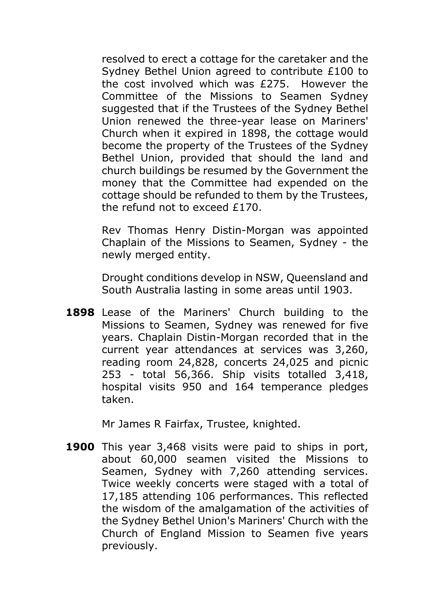resolved to erect a cottage for the caretaker and the Sydney Bethel Union agreed to contribute £100 to the cost involved which was £275. However the Committee of the Missions to Seamen Sydney suggested that if the Trustees of the Sydney Bethel Union renewed the three-year lease on Mariners' Church when it expired in 1898, the cottage would become the property of the Trustees of the Sydney Bethel Union, provided that should the land and church buildings be resumed by the Government the money that the Committee had expended on the cottage should be refunded to them by the Trustees, the refund not to exceed £170.

Rev Thomas Henry Distin-Morgan was appointed Chaplain of the Missions to Seamen, Sydney - the newly merged entity.

Drought conditions develop in NSW, Queensland and South Australia lasting in some areas until 1903.

**1898** Lease of the Mariners' Church building to the Missions to Seamen, Sydney was renewed for five years. Chaplain Distin-Morgan recorded that in the current year attendances at services was 3,260, reading room 24,828, concerts 24,025 and picnic 253 - total 56,366. Ship visits totalled 3,418, hospital visits 950 and 164 temperance pledges taken.

Mr James R Fairfax, Trustee, knighted.

**1900** This year 3,468 visits were paid to ships in port, about 60,000 seamen visited the Missions to Seamen, Sydney with 7,260 attending services. Twice weekly concerts were staged with a total of 17,185 attending 106 performances. This reflected the wisdom of the amalgamation of the activities of the Sydney Bethel Union's Mariners' Church with the Church of England Mission to Seamen five years previously.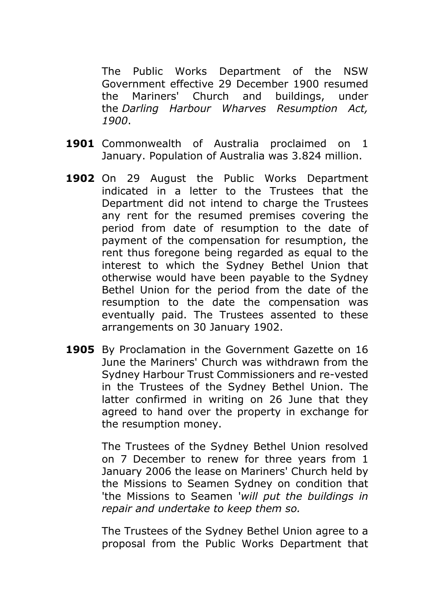The Public Works Department of the NSW Government effective 29 December 1900 resumed the Mariners' Church and buildings, under the *Darling Harbour Wharves Resumption Act, 1900*.

- **1901** Commonwealth of Australia proclaimed on 1 January. Population of Australia was 3.824 million.
- **1902** On 29 August the Public Works Department indicated in a letter to the Trustees that the Department did not intend to charge the Trustees any rent for the resumed premises covering the period from date of resumption to the date of payment of the compensation for resumption, the rent thus foregone being regarded as equal to the interest to which the Sydney Bethel Union that otherwise would have been payable to the Sydney Bethel Union for the period from the date of the resumption to the date the compensation was eventually paid. The Trustees assented to these arrangements on 30 January 1902.
- **1905** By Proclamation in the Government Gazette on 16 June the Mariners' Church was withdrawn from the Sydney Harbour Trust Commissioners and re-vested in the Trustees of the Sydney Bethel Union. The latter confirmed in writing on 26 June that they agreed to hand over the property in exchange for the resumption money.

The Trustees of the Sydney Bethel Union resolved on 7 December to renew for three years from 1 January 2006 the lease on Mariners' Church held by the Missions to Seamen Sydney on condition that 'the Missions to Seamen '*will put the buildings in repair and undertake to keep them so.*

The Trustees of the Sydney Bethel Union agree to a proposal from the Public Works Department that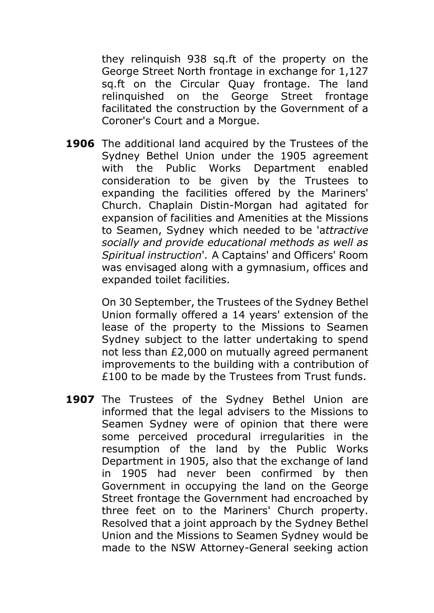they relinquish 938 sq.ft of the property on the George Street North frontage in exchange for 1,127 sq.ft on the Circular Quay frontage. The land relinquished on the George Street frontage facilitated the construction by the Government of a Coroner's Court and a Morgue.

**1906** The additional land acquired by the Trustees of the Sydney Bethel Union under the 1905 agreement with the Public Works Department enabled consideration to be given by the Trustees to expanding the facilities offered by the Mariners' Church. Chaplain Distin-Morgan had agitated for expansion of facilities and Amenities at the Missions to Seamen, Sydney which needed to be 'a*ttractive socially and provide educational methods as well as Spiritual instruction*'*.* A Captains' and Officers' Room was envisaged along with a gymnasium, offices and expanded toilet facilities.

> On 30 September, the Trustees of the Sydney Bethel Union formally offered a 14 years' extension of the lease of the property to the Missions to Seamen Sydney subject to the latter undertaking to spend not less than £2,000 on mutually agreed permanent improvements to the building with a contribution of £100 to be made by the Trustees from Trust funds.

1907 The Trustees of the Sydney Bethel Union are informed that the legal advisers to the Missions to Seamen Sydney were of opinion that there were some perceived procedural irregularities in the resumption of the land by the Public Works Department in 1905, also that the exchange of land in 1905 had never been confirmed by then Government in occupying the land on the George Street frontage the Government had encroached by three feet on to the Mariners' Church property. Resolved that a joint approach by the Sydney Bethel Union and the Missions to Seamen Sydney would be made to the NSW Attorney-General seeking action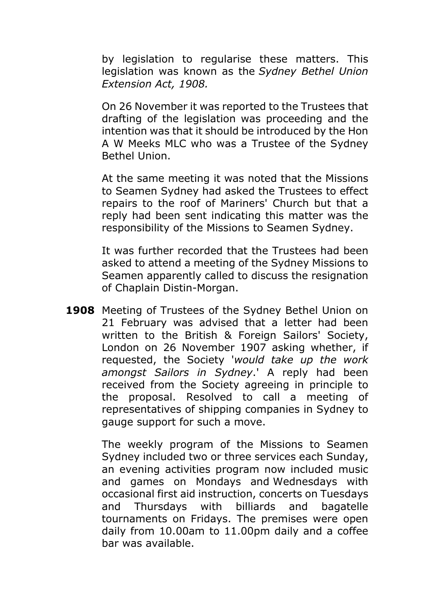by legislation to regularise these matters. This legislation was known as the *Sydney Bethel Union Extension Act, 1908.*

On 26 November it was reported to the Trustees that drafting of the legislation was proceeding and the intention was that it should be introduced by the Hon A W Meeks MLC who was a Trustee of the Sydney Bethel Union.

At the same meeting it was noted that the Missions to Seamen Sydney had asked the Trustees to effect repairs to the roof of Mariners' Church but that a reply had been sent indicating this matter was the responsibility of the Missions to Seamen Sydney.

It was further recorded that the Trustees had been asked to attend a meeting of the Sydney Missions to Seamen apparently called to discuss the resignation of Chaplain Distin-Morgan.

**1908** Meeting of Trustees of the Sydney Bethel Union on 21 February was advised that a letter had been written to the British & Foreign Sailors' Society, London on 26 November 1907 asking whether, if requested, the Society '*would take up the work amongst Sailors in Sydney*.' A reply had been received from the Society agreeing in principle to the proposal. Resolved to call a meeting of representatives of shipping companies in Sydney to gauge support for such a move.

> The weekly program of the Missions to Seamen Sydney included two or three services each Sunday, an evening activities program now included music and games on Mondays and Wednesdays with occasional first aid instruction, concerts on Tuesdays and Thursdays with billiards and bagatelle tournaments on Fridays. The premises were open daily from 10.00am to 11.00pm daily and a coffee bar was available.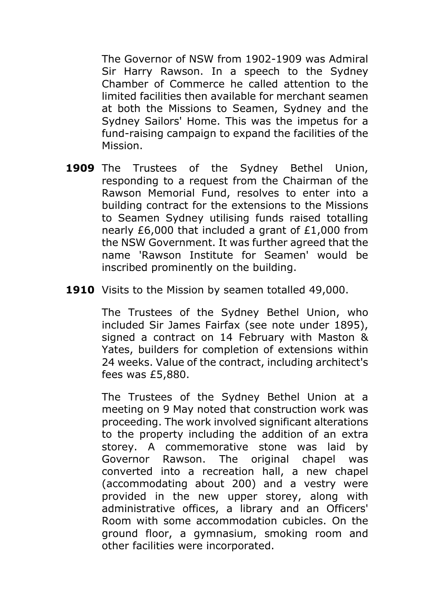The Governor of NSW from 1902-1909 was Admiral Sir Harry Rawson. In a speech to the Sydney Chamber of Commerce he called attention to the limited facilities then available for merchant seamen at both the Missions to Seamen, Sydney and the Sydney Sailors' Home. This was the impetus for a fund-raising campaign to expand the facilities of the Mission.

- **1909** The Trustees of the Sydney Bethel Union, responding to a request from the Chairman of the Rawson Memorial Fund, resolves to enter into a building contract for the extensions to the Missions to Seamen Sydney utilising funds raised totalling nearly £6,000 that included a grant of £1,000 from the NSW Government. It was further agreed that the name 'Rawson Institute for Seamen' would be inscribed prominently on the building.
- **1910** Visits to the Mission by seamen totalled 49,000.

The Trustees of the Sydney Bethel Union, who included Sir James Fairfax (see note under 1895), signed a contract on 14 February with Maston & Yates, builders for completion of extensions within 24 weeks. Value of the contract, including architect's fees was £5,880.

The Trustees of the Sydney Bethel Union at a meeting on 9 May noted that construction work was proceeding. The work involved significant alterations to the property including the addition of an extra storey. A commemorative stone was laid by Governor Rawson. The original chapel was converted into a recreation hall, a new chapel (accommodating about 200) and a vestry were provided in the new upper storey, along with administrative offices, a library and an Officers' Room with some accommodation cubicles. On the ground floor, a gymnasium, smoking room and other facilities were incorporated.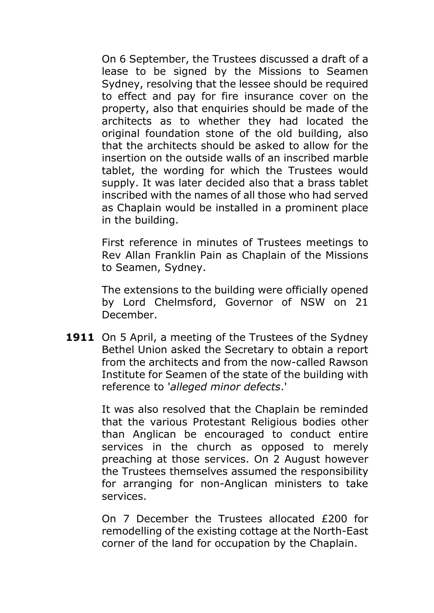On 6 September, the Trustees discussed a draft of a lease to be signed by the Missions to Seamen Sydney, resolving that the lessee should be required to effect and pay for fire insurance cover on the property, also that enquiries should be made of the architects as to whether they had located the original foundation stone of the old building, also that the architects should be asked to allow for the insertion on the outside walls of an inscribed marble tablet, the wording for which the Trustees would supply. It was later decided also that a brass tablet inscribed with the names of all those who had served as Chaplain would be installed in a prominent place in the building.

First reference in minutes of Trustees meetings to Rev Allan Franklin Pain as Chaplain of the Missions to Seamen, Sydney.

The extensions to the building were officially opened by Lord Chelmsford, Governor of NSW on 21 December.

**1911** On 5 April, a meeting of the Trustees of the Sydney Bethel Union asked the Secretary to obtain a report from the architects and from the now-called Rawson Institute for Seamen of the state of the building with reference to '*alleged minor defects*.'

> It was also resolved that the Chaplain be reminded that the various Protestant Religious bodies other than Anglican be encouraged to conduct entire services in the church as opposed to merely preaching at those services. On 2 August however the Trustees themselves assumed the responsibility for arranging for non-Anglican ministers to take services.

> On 7 December the Trustees allocated £200 for remodelling of the existing cottage at the North-East corner of the land for occupation by the Chaplain.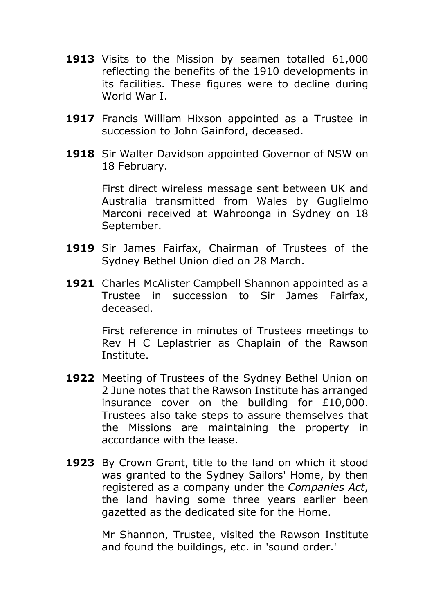- **1913** Visits to the Mission by seamen totalled 61,000 reflecting the benefits of the 1910 developments in its facilities. These figures were to decline during World War I.
- 1917 Francis William Hixson appointed as a Trustee in succession to John Gainford, deceased.
- **1918** Sir Walter Davidson appointed Governor of NSW on 18 February.

First direct wireless message sent between UK and Australia transmitted from Wales by Guglielmo Marconi received at Wahroonga in Sydney on 18 September.

- **1919** Sir James Fairfax, Chairman of Trustees of the Sydney Bethel Union died on 28 March.
- 1921 Charles McAlister Campbell Shannon appointed as a Trustee in succession to Sir James Fairfax, deceased.

First reference in minutes of Trustees meetings to Rev H C Leplastrier as Chaplain of the Rawson Institute.

- **1922** Meeting of Trustees of the Sydney Bethel Union on 2 June notes that the Rawson Institute has arranged insurance cover on the building for £10,000. Trustees also take steps to assure themselves that the Missions are maintaining the property in accordance with the lease.
- **1923** By Crown Grant, title to the land on which it stood was granted to the Sydney Sailors' Home, by then registered as a company under the *Companies Act*, the land having some three years earlier been gazetted as the dedicated site for the Home.

Mr Shannon, Trustee, visited the Rawson Institute and found the buildings, etc. in 'sound order.'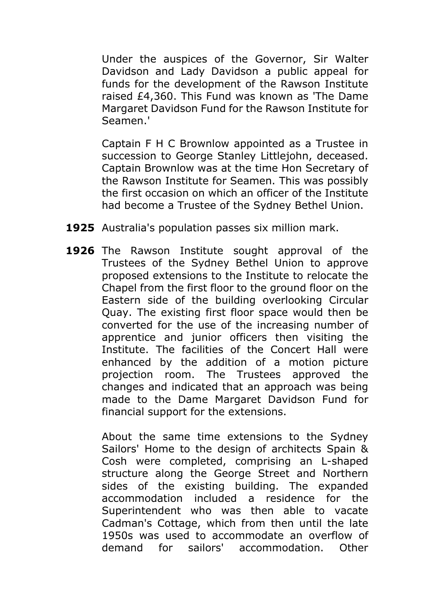Under the auspices of the Governor, Sir Walter Davidson and Lady Davidson a public appeal for funds for the development of the Rawson Institute raised £4,360. This Fund was known as 'The Dame Margaret Davidson Fund for the Rawson Institute for Seamen.'

Captain F H C Brownlow appointed as a Trustee in succession to George Stanley Littlejohn, deceased. Captain Brownlow was at the time Hon Secretary of the Rawson Institute for Seamen. This was possibly the first occasion on which an officer of the Institute had become a Trustee of the Sydney Bethel Union.

- **1925** Australia's population passes six million mark.
- **1926** The Rawson Institute sought approval of the Trustees of the Sydney Bethel Union to approve proposed extensions to the Institute to relocate the Chapel from the first floor to the ground floor on the Eastern side of the building overlooking Circular Quay. The existing first floor space would then be converted for the use of the increasing number of apprentice and junior officers then visiting the Institute. The facilities of the Concert Hall were enhanced by the addition of a motion picture projection room. The Trustees approved the changes and indicated that an approach was being made to the Dame Margaret Davidson Fund for financial support for the extensions.

About the same time extensions to the Sydney Sailors' Home to the design of architects Spain & Cosh were completed, comprising an L-shaped structure along the George Street and Northern sides of the existing building. The expanded accommodation included a residence for the Superintendent who was then able to vacate Cadman's Cottage, which from then until the late 1950s was used to accommodate an overflow of demand for sailors' accommodation. Other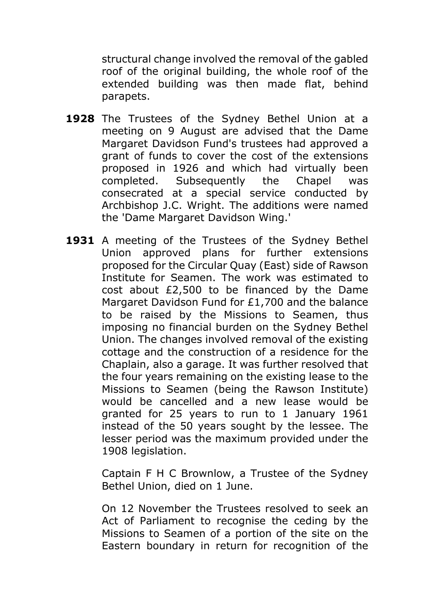structural change involved the removal of the gabled roof of the original building, the whole roof of the extended building was then made flat, behind parapets.

- **1928** The Trustees of the Sydney Bethel Union at a meeting on 9 August are advised that the Dame Margaret Davidson Fund's trustees had approved a grant of funds to cover the cost of the extensions proposed in 1926 and which had virtually been completed. Subsequently the Chapel was consecrated at a special service conducted by Archbishop J.C. Wright. The additions were named the 'Dame Margaret Davidson Wing.'
- **1931** A meeting of the Trustees of the Sydney Bethel Union approved plans for further extensions proposed for the Circular Quay (East) side of Rawson Institute for Seamen. The work was estimated to cost about £2,500 to be financed by the Dame Margaret Davidson Fund for £1,700 and the balance to be raised by the Missions to Seamen, thus imposing no financial burden on the Sydney Bethel Union. The changes involved removal of the existing cottage and the construction of a residence for the Chaplain, also a garage. It was further resolved that the four years remaining on the existing lease to the Missions to Seamen (being the Rawson Institute) would be cancelled and a new lease would be granted for 25 years to run to 1 January 1961 instead of the 50 years sought by the lessee. The lesser period was the maximum provided under the 1908 legislation.

Captain F H C Brownlow, a Trustee of the Sydney Bethel Union, died on 1 June.

On 12 November the Trustees resolved to seek an Act of Parliament to recognise the ceding by the Missions to Seamen of a portion of the site on the Eastern boundary in return for recognition of the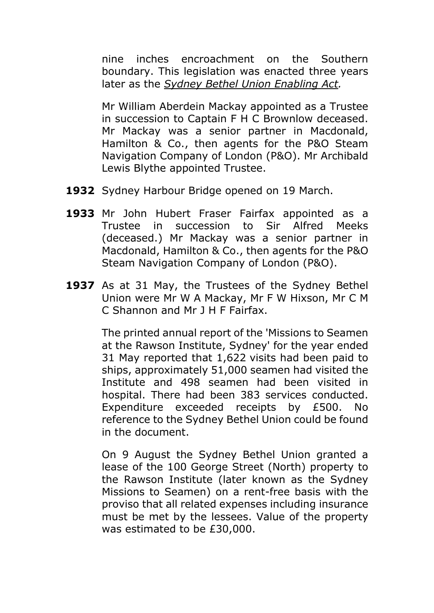nine inches encroachment on the Southern boundary. This legislation was enacted three years later as the *Sydney Bethel Union Enabling Act.*

Mr William Aberdein Mackay appointed as a Trustee in succession to Captain F H C Brownlow deceased. Mr Mackay was a senior partner in Macdonald, Hamilton & Co., then agents for the P&O Steam Navigation Company of London (P&O). Mr Archibald Lewis Blythe appointed Trustee.

- **1932** Sydney Harbour Bridge opened on 19 March.
- **1933** Mr John Hubert Fraser Fairfax appointed as a Trustee in succession to Sir Alfred Meeks (deceased.) Mr Mackay was a senior partner in Macdonald, Hamilton & Co., then agents for the P&O Steam Navigation Company of London (P&O).
- **1937** As at 31 May, the Trustees of the Sydney Bethel Union were Mr W A Mackay, Mr F W Hixson, Mr C M C Shannon and Mr J H F Fairfax.

The printed annual report of the 'Missions to Seamen at the Rawson Institute, Sydney' for the year ended 31 May reported that 1,622 visits had been paid to ships, approximately 51,000 seamen had visited the Institute and 498 seamen had been visited in hospital. There had been 383 services conducted. Expenditure exceeded receipts by £500. No reference to the Sydney Bethel Union could be found in the document.

On 9 August the Sydney Bethel Union granted a lease of the 100 George Street (North) property to the Rawson Institute (later known as the Sydney Missions to Seamen) on a rent-free basis with the proviso that all related expenses including insurance must be met by the lessees. Value of the property was estimated to be £30,000.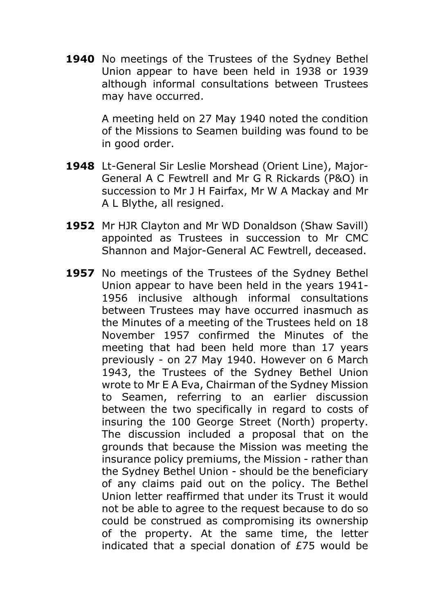**1940** No meetings of the Trustees of the Sydney Bethel Union appear to have been held in 1938 or 1939 although informal consultations between Trustees may have occurred.

> A meeting held on 27 May 1940 noted the condition of the Missions to Seamen building was found to be in good order.

- **1948** Lt-General Sir Leslie Morshead (Orient Line), Major-General A C Fewtrell and Mr G R Rickards (P&O) in succession to Mr J H Fairfax, Mr W A Mackay and Mr A L Blythe, all resigned.
- **1952** Mr HJR Clayton and Mr WD Donaldson (Shaw Savill) appointed as Trustees in succession to Mr CMC Shannon and Major-General AC Fewtrell, deceased.
- 1957 No meetings of the Trustees of the Sydney Bethel Union appear to have been held in the years 1941- 1956 inclusive although informal consultations between Trustees may have occurred inasmuch as the Minutes of a meeting of the Trustees held on 18 November 1957 confirmed the Minutes of the meeting that had been held more than 17 years previously - on 27 May 1940. However on 6 March 1943, the Trustees of the Sydney Bethel Union wrote to Mr E A Eva, Chairman of the Sydney Mission to Seamen, referring to an earlier discussion between the two specifically in regard to costs of insuring the 100 George Street (North) property. The discussion included a proposal that on the grounds that because the Mission was meeting the insurance policy premiums, the Mission - rather than the Sydney Bethel Union - should be the beneficiary of any claims paid out on the policy. The Bethel Union letter reaffirmed that under its Trust it would not be able to agree to the request because to do so could be construed as compromising its ownership of the property. At the same time, the letter indicated that a special donation of £75 would be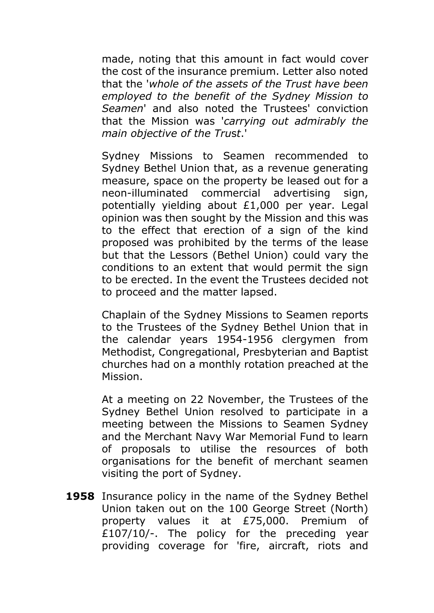made, noting that this amount in fact would cover the cost of the insurance premium. Letter also noted that the '*whole of the assets of the Trust have been employed to the benefit of the Sydney Mission to Seamen*' and also noted the Trustees' conviction that the Mission was '*carrying out admirably the main objective of the Tru*s*t*.'

Sydney Missions to Seamen recommended to Sydney Bethel Union that, as a revenue generating measure, space on the property be leased out for a neon-illuminated commercial advertising sign, potentially yielding about £1,000 per year. Legal opinion was then sought by the Mission and this was to the effect that erection of a sign of the kind proposed was prohibited by the terms of the lease but that the Lessors (Bethel Union) could vary the conditions to an extent that would permit the sign to be erected. In the event the Trustees decided not to proceed and the matter lapsed.

Chaplain of the Sydney Missions to Seamen reports to the Trustees of the Sydney Bethel Union that in the calendar years 1954-1956 clergymen from Methodist, Congregational, Presbyterian and Baptist churches had on a monthly rotation preached at the Mission.

At a meeting on 22 November, the Trustees of the Sydney Bethel Union resolved to participate in a meeting between the Missions to Seamen Sydney and the Merchant Navy War Memorial Fund to learn of proposals to utilise the resources of both organisations for the benefit of merchant seamen visiting the port of Sydney.

**1958** Insurance policy in the name of the Sydney Bethel Union taken out on the 100 George Street (North) property values it at £75,000. Premium of £107/10/-. The policy for the preceding year providing coverage for 'fire, aircraft, riots and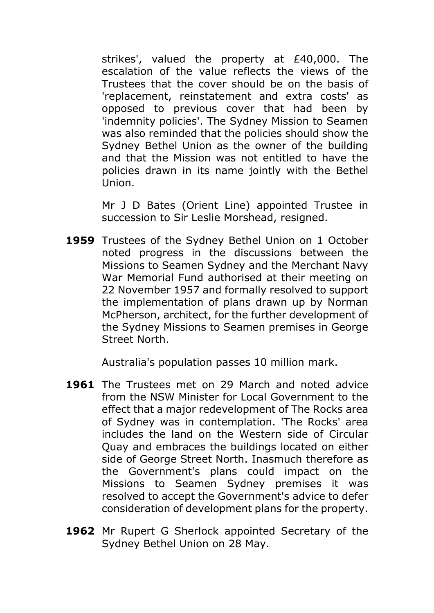strikes', valued the property at £40,000. The escalation of the value reflects the views of the Trustees that the cover should be on the basis of 'replacement, reinstatement and extra costs' as opposed to previous cover that had been by 'indemnity policies'. The Sydney Mission to Seamen was also reminded that the policies should show the Sydney Bethel Union as the owner of the building and that the Mission was not entitled to have the policies drawn in its name jointly with the Bethel Union.

Mr J D Bates (Orient Line) appointed Trustee in succession to Sir Leslie Morshead, resigned.

**1959** Trustees of the Sydney Bethel Union on 1 October noted progress in the discussions between the Missions to Seamen Sydney and the Merchant Navy War Memorial Fund authorised at their meeting on 22 November 1957 and formally resolved to support the implementation of plans drawn up by Norman McPherson, architect, for the further development of the Sydney Missions to Seamen premises in George Street North.

Australia's population passes 10 million mark.

- **1961** The Trustees met on 29 March and noted advice from the NSW Minister for Local Government to the effect that a major redevelopment of The Rocks area of Sydney was in contemplation. 'The Rocks' area includes the land on the Western side of Circular Quay and embraces the buildings located on either side of George Street North. Inasmuch therefore as the Government's plans could impact on the Missions to Seamen Sydney premises it was resolved to accept the Government's advice to defer consideration of development plans for the property.
- **1962** Mr Rupert G Sherlock appointed Secretary of the Sydney Bethel Union on 28 May.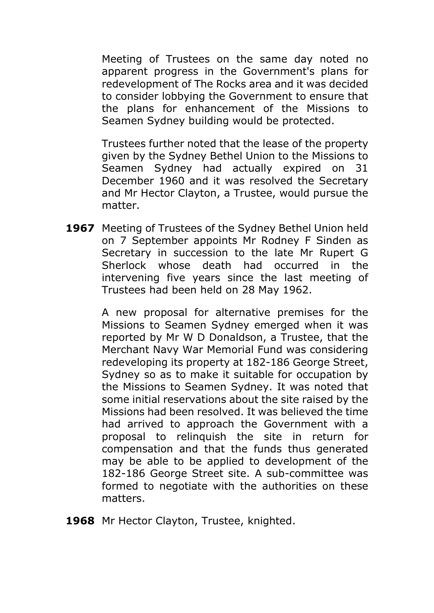Meeting of Trustees on the same day noted no apparent progress in the Government's plans for redevelopment of The Rocks area and it was decided to consider lobbying the Government to ensure that the plans for enhancement of the Missions to Seamen Sydney building would be protected.

Trustees further noted that the lease of the property given by the Sydney Bethel Union to the Missions to Seamen Sydney had actually expired on 31 December 1960 and it was resolved the Secretary and Mr Hector Clayton, a Trustee, would pursue the matter.

**1967** Meeting of Trustees of the Sydney Bethel Union held on 7 September appoints Mr Rodney F Sinden as Secretary in succession to the late Mr Rupert G Sherlock whose death had occurred in the intervening five years since the last meeting of Trustees had been held on 28 May 1962.

> A new proposal for alternative premises for the Missions to Seamen Sydney emerged when it was reported by Mr W D Donaldson, a Trustee, that the Merchant Navy War Memorial Fund was considering redeveloping its property at 182-186 George Street, Sydney so as to make it suitable for occupation by the Missions to Seamen Sydney. It was noted that some initial reservations about the site raised by the Missions had been resolved. It was believed the time had arrived to approach the Government with a proposal to relinquish the site in return for compensation and that the funds thus generated may be able to be applied to development of the 182-186 George Street site. A sub-committee was formed to negotiate with the authorities on these matters.

**1968** Mr Hector Clayton, Trustee, knighted.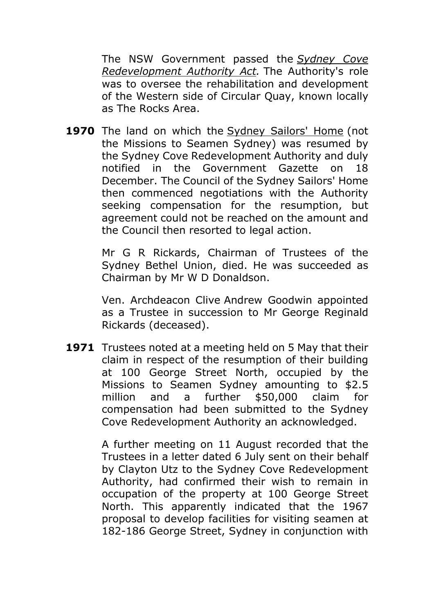The NSW Government passed the *Sydney Cove Redevelopment Authority Act.* The Authority's role was to oversee the rehabilitation and development of the Western side of Circular Quay, known locally as The Rocks Area.

**1970** The land on which the Sydney Sailors' Home (not the Missions to Seamen Sydney) was resumed by the Sydney Cove Redevelopment Authority and duly notified in the Government Gazette on 18 December. The Council of the Sydney Sailors' Home then commenced negotiations with the Authority seeking compensation for the resumption, but agreement could not be reached on the amount and the Council then resorted to legal action.

> Mr G R Rickards, Chairman of Trustees of the Sydney Bethel Union, died. He was succeeded as Chairman by Mr W D Donaldson.

> Ven. Archdeacon Clive Andrew Goodwin appointed as a Trustee in succession to Mr George Reginald Rickards (deceased).

**1971** Trustees noted at a meeting held on 5 May that their claim in respect of the resumption of their building at 100 George Street North, occupied by the Missions to Seamen Sydney amounting to \$2.5 million and a further \$50,000 claim for compensation had been submitted to the Sydney Cove Redevelopment Authority an acknowledged.

> A further meeting on 11 August recorded that the Trustees in a letter dated 6 July sent on their behalf by Clayton Utz to the Sydney Cove Redevelopment Authority, had confirmed their wish to remain in occupation of the property at 100 George Street North. This apparently indicated that the 1967 proposal to develop facilities for visiting seamen at 182-186 George Street, Sydney in conjunction with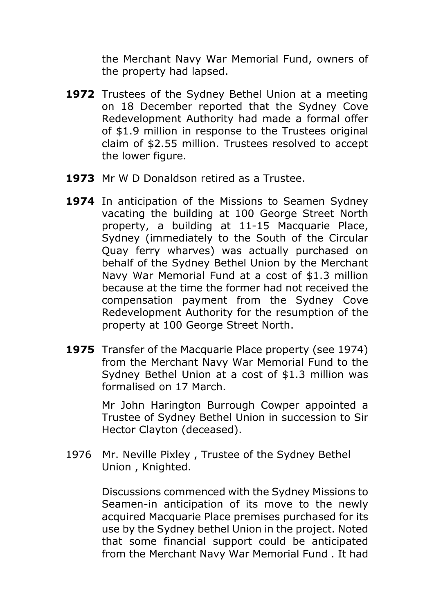the Merchant Navy War Memorial Fund, owners of the property had lapsed.

- **1972** Trustees of the Sydney Bethel Union at a meeting on 18 December reported that the Sydney Cove Redevelopment Authority had made a formal offer of \$1.9 million in response to the Trustees original claim of \$2.55 million. Trustees resolved to accept the lower figure.
- **1973** Mr W D Donaldson retired as a Trustee.
- **1974** In anticipation of the Missions to Seamen Sydney vacating the building at 100 George Street North property, a building at 11-15 Macquarie Place, Sydney (immediately to the South of the Circular Quay ferry wharves) was actually purchased on behalf of the Sydney Bethel Union by the Merchant Navy War Memorial Fund at a cost of \$1.3 million because at the time the former had not received the compensation payment from the Sydney Cove Redevelopment Authority for the resumption of the property at 100 George Street North.
- **1975** Transfer of the Macquarie Place property (see 1974) from the Merchant Navy War Memorial Fund to the Sydney Bethel Union at a cost of \$1.3 million was formalised on 17 March.

Mr John Harington Burrough Cowper appointed a Trustee of Sydney Bethel Union in succession to Sir Hector Clayton (deceased).

1976 Mr. Neville Pixley , Trustee of the Sydney Bethel Union , Knighted.

> Discussions commenced with the Sydney Missions to Seamen-in anticipation of its move to the newly acquired Macquarie Place premises purchased for its use by the Sydney bethel Union in the project. Noted that some financial support could be anticipated from the Merchant Navy War Memorial Fund . It had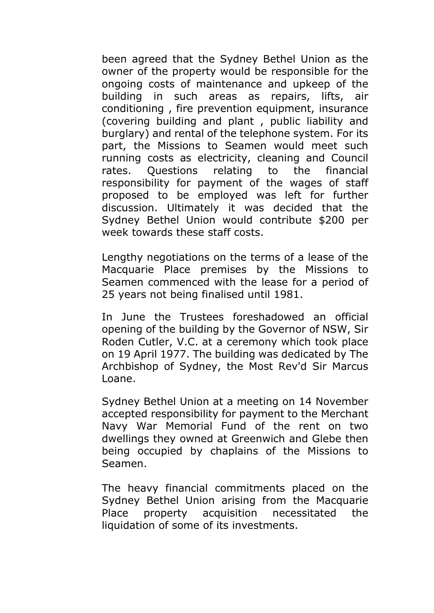been agreed that the Sydney Bethel Union as the owner of the property would be responsible for the ongoing costs of maintenance and upkeep of the building in such areas as repairs, lifts, air conditioning , fire prevention equipment, insurance (covering building and plant , public liability and burglary) and rental of the telephone system. For its part, the Missions to Seamen would meet such running costs as electricity, cleaning and Council rates. Questions relating to the financial responsibility for payment of the wages of staff proposed to be employed was left for further discussion. Ultimately it was decided that the Sydney Bethel Union would contribute \$200 per week towards these staff costs.

Lengthy negotiations on the terms of a lease of the Macquarie Place premises by the Missions to Seamen commenced with the lease for a period of 25 years not being finalised until 1981.

In June the Trustees foreshadowed an official opening of the building by the Governor of NSW, Sir Roden Cutler, V.C. at a ceremony which took place on 19 April 1977. The building was dedicated by The Archbishop of Sydney, the Most Rev'd Sir Marcus Loane.

Sydney Bethel Union at a meeting on 14 November accepted responsibility for payment to the Merchant Navy War Memorial Fund of the rent on two dwellings they owned at Greenwich and Glebe then being occupied by chaplains of the Missions to Seamen.

The heavy financial commitments placed on the Sydney Bethel Union arising from the Macquarie Place property acquisition necessitated the liquidation of some of its investments.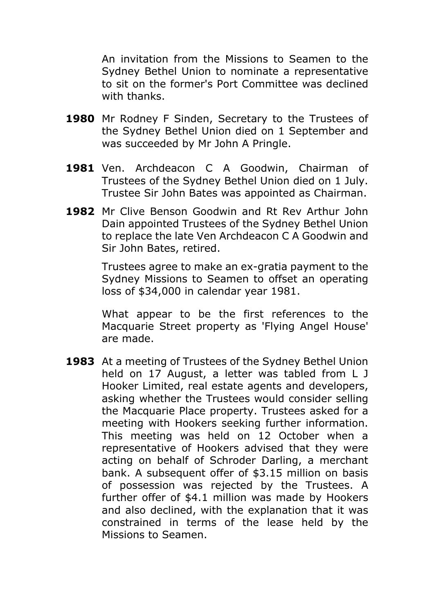An invitation from the Missions to Seamen to the Sydney Bethel Union to nominate a representative to sit on the former's Port Committee was declined with thanks.

- **1980** Mr Rodney F Sinden, Secretary to the Trustees of the Sydney Bethel Union died on 1 September and was succeeded by Mr John A Pringle.
- **1981** Ven. Archdeacon C A Goodwin, Chairman of Trustees of the Sydney Bethel Union died on 1 July. Trustee Sir John Bates was appointed as Chairman.
- **1982** Mr Clive Benson Goodwin and Rt Rev Arthur John Dain appointed Trustees of the Sydney Bethel Union to replace the late Ven Archdeacon C A Goodwin and Sir John Bates, retired.

Trustees agree to make an ex-gratia payment to the Sydney Missions to Seamen to offset an operating loss of \$34,000 in calendar year 1981.

What appear to be the first references to the Macquarie Street property as 'Flying Angel House' are made.

**1983** At a meeting of Trustees of the Sydney Bethel Union held on 17 August, a letter was tabled from L J Hooker Limited, real estate agents and developers, asking whether the Trustees would consider selling the Macquarie Place property. Trustees asked for a meeting with Hookers seeking further information. This meeting was held on 12 October when a representative of Hookers advised that they were acting on behalf of Schroder Darling, a merchant bank. A subsequent offer of \$3.15 million on basis of possession was rejected by the Trustees. A further offer of \$4.1 million was made by Hookers and also declined, with the explanation that it was constrained in terms of the lease held by the Missions to Seamen.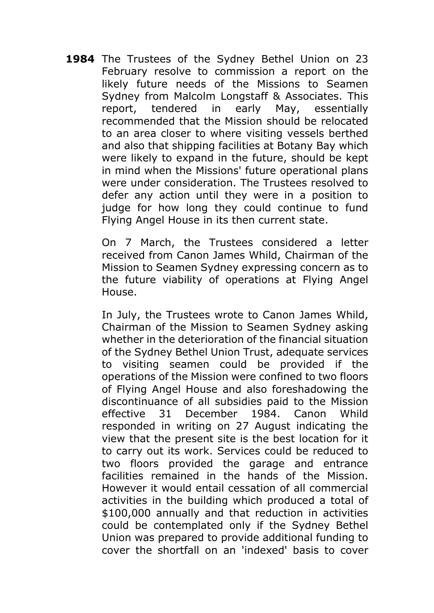**1984** The Trustees of the Sydney Bethel Union on 23 February resolve to commission a report on the likely future needs of the Missions to Seamen Sydney from Malcolm Longstaff & Associates. This report, tendered in early May, essentially recommended that the Mission should be relocated to an area closer to where visiting vessels berthed and also that shipping facilities at Botany Bay which were likely to expand in the future, should be kept in mind when the Missions' future operational plans were under consideration. The Trustees resolved to defer any action until they were in a position to judge for how long they could continue to fund Flying Angel House in its then current state.

> On 7 March, the Trustees considered a letter received from Canon James Whild, Chairman of the Mission to Seamen Sydney expressing concern as to the future viability of operations at Flying Angel House.

> In July, the Trustees wrote to Canon James Whild, Chairman of the Mission to Seamen Sydney asking whether in the deterioration of the financial situation of the Sydney Bethel Union Trust, adequate services to visiting seamen could be provided if the operations of the Mission were confined to two floors of Flying Angel House and also foreshadowing the discontinuance of all subsidies paid to the Mission effective 31 December 1984. Canon Whild responded in writing on 27 August indicating the view that the present site is the best location for it to carry out its work. Services could be reduced to two floors provided the garage and entrance facilities remained in the hands of the Mission. However it would entail cessation of all commercial activities in the building which produced a total of \$100,000 annually and that reduction in activities could be contemplated only if the Sydney Bethel Union was prepared to provide additional funding to cover the shortfall on an 'indexed' basis to cover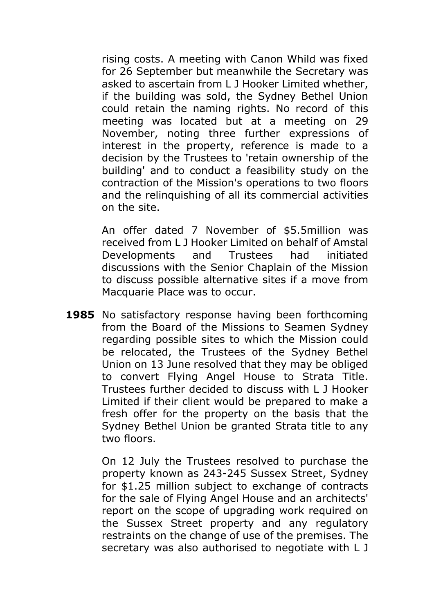rising costs. A meeting with Canon Whild was fixed for 26 September but meanwhile the Secretary was asked to ascertain from L J Hooker Limited whether, if the building was sold, the Sydney Bethel Union could retain the naming rights. No record of this meeting was located but at a meeting on 29 November, noting three further expressions of interest in the property, reference is made to a decision by the Trustees to 'retain ownership of the building' and to conduct a feasibility study on the contraction of the Mission's operations to two floors and the relinquishing of all its commercial activities on the site.

An offer dated 7 November of \$5.5million was received from L J Hooker Limited on behalf of Amstal Developments and Trustees had initiated discussions with the Senior Chaplain of the Mission to discuss possible alternative sites if a move from Macquarie Place was to occur.

**1985** No satisfactory response having been forthcoming from the Board of the Missions to Seamen Sydney regarding possible sites to which the Mission could be relocated, the Trustees of the Sydney Bethel Union on 13 June resolved that they may be obliged to convert Flying Angel House to Strata Title. Trustees further decided to discuss with L J Hooker Limited if their client would be prepared to make a fresh offer for the property on the basis that the Sydney Bethel Union be granted Strata title to any two floors.

> On 12 July the Trustees resolved to purchase the property known as 243-245 Sussex Street, Sydney for \$1.25 million subject to exchange of contracts for the sale of Flying Angel House and an architects' report on the scope of upgrading work required on the Sussex Street property and any regulatory restraints on the change of use of the premises. The secretary was also authorised to negotiate with L J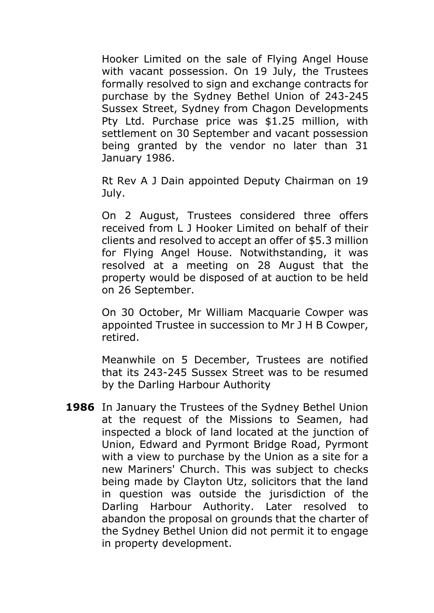Hooker Limited on the sale of Flying Angel House with vacant possession. On 19 July, the Trustees formally resolved to sign and exchange contracts for purchase by the Sydney Bethel Union of 243-245 Sussex Street, Sydney from Chagon Developments Pty Ltd. Purchase price was \$1.25 million, with settlement on 30 September and vacant possession being granted by the vendor no later than 31 January 1986.

Rt Rev A J Dain appointed Deputy Chairman on 19 July.

On 2 August, Trustees considered three offers received from L J Hooker Limited on behalf of their clients and resolved to accept an offer of \$5.3 million for Flying Angel House. Notwithstanding, it was resolved at a meeting on 28 August that the property would be disposed of at auction to be held on 26 September.

On 30 October, Mr William Macquarie Cowper was appointed Trustee in succession to Mr J H B Cowper, retired.

Meanwhile on 5 December, Trustees are notified that its 243-245 Sussex Street was to be resumed by the Darling Harbour Authority

**1986** In January the Trustees of the Sydney Bethel Union at the request of the Missions to Seamen, had inspected a block of land located at the junction of Union, Edward and Pyrmont Bridge Road, Pyrmont with a view to purchase by the Union as a site for a new Mariners' Church. This was subject to checks being made by Clayton Utz, solicitors that the land in question was outside the jurisdiction of the Darling Harbour Authority. Later resolved to abandon the proposal on grounds that the charter of the Sydney Bethel Union did not permit it to engage in property development.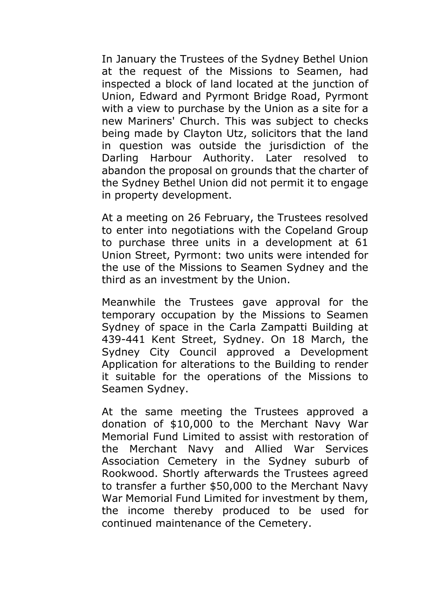In January the Trustees of the Sydney Bethel Union at the request of the Missions to Seamen, had inspected a block of land located at the junction of Union, Edward and Pyrmont Bridge Road, Pyrmont with a view to purchase by the Union as a site for a new Mariners' Church. This was subject to checks being made by Clayton Utz, solicitors that the land in question was outside the jurisdiction of the Darling Harbour Authority. Later resolved to abandon the proposal on grounds that the charter of the Sydney Bethel Union did not permit it to engage in property development.

At a meeting on 26 February, the Trustees resolved to enter into negotiations with the Copeland Group to purchase three units in a development at 61 Union Street, Pyrmont: two units were intended for the use of the Missions to Seamen Sydney and the third as an investment by the Union.

Meanwhile the Trustees gave approval for the temporary occupation by the Missions to Seamen Sydney of space in the Carla Zampatti Building at 439-441 Kent Street, Sydney. On 18 March, the Sydney City Council approved a Development Application for alterations to the Building to render it suitable for the operations of the Missions to Seamen Sydney.

At the same meeting the Trustees approved a donation of \$10,000 to the Merchant Navy War Memorial Fund Limited to assist with restoration of the Merchant Navy and Allied War Services Association Cemetery in the Sydney suburb of Rookwood. Shortly afterwards the Trustees agreed to transfer a further \$50,000 to the Merchant Navy War Memorial Fund Limited for investment by them, the income thereby produced to be used for continued maintenance of the Cemetery.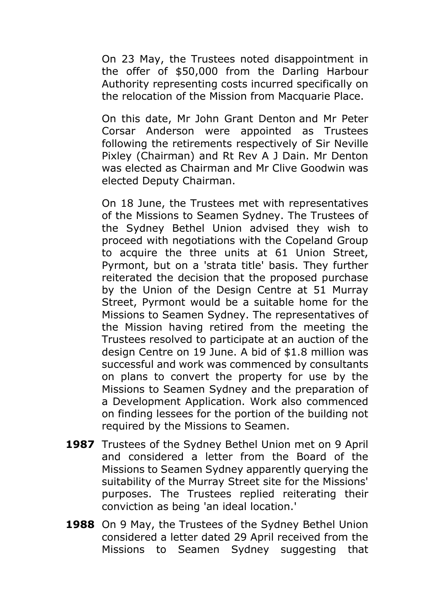On 23 May, the Trustees noted disappointment in the offer of \$50,000 from the Darling Harbour Authority representing costs incurred specifically on the relocation of the Mission from Macquarie Place.

On this date, Mr John Grant Denton and Mr Peter Corsar Anderson were appointed as Trustees following the retirements respectively of Sir Neville Pixley (Chairman) and Rt Rev A J Dain. Mr Denton was elected as Chairman and Mr Clive Goodwin was elected Deputy Chairman.

On 18 June, the Trustees met with representatives of the Missions to Seamen Sydney. The Trustees of the Sydney Bethel Union advised they wish to proceed with negotiations with the Copeland Group to acquire the three units at 61 Union Street, Pyrmont, but on a 'strata title' basis. They further reiterated the decision that the proposed purchase by the Union of the Design Centre at 51 Murray Street, Pyrmont would be a suitable home for the Missions to Seamen Sydney. The representatives of the Mission having retired from the meeting the Trustees resolved to participate at an auction of the design Centre on 19 June. A bid of \$1.8 million was successful and work was commenced by consultants on plans to convert the property for use by the Missions to Seamen Sydney and the preparation of a Development Application. Work also commenced on finding lessees for the portion of the building not required by the Missions to Seamen.

- **1987** Trustees of the Sydney Bethel Union met on 9 April and considered a letter from the Board of the Missions to Seamen Sydney apparently querying the suitability of the Murray Street site for the Missions' purposes. The Trustees replied reiterating their conviction as being 'an ideal location.'
- **1988** On 9 May, the Trustees of the Sydney Bethel Union considered a letter dated 29 April received from the Missions to Seamen Sydney suggesting that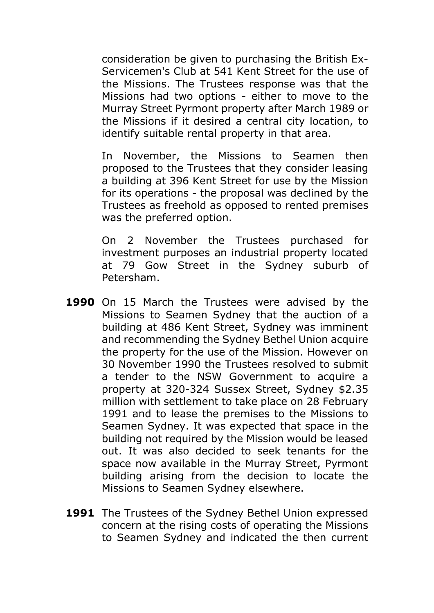consideration be given to purchasing the British Ex-Servicemen's Club at 541 Kent Street for the use of the Missions. The Trustees response was that the Missions had two options - either to move to the Murray Street Pyrmont property after March 1989 or the Missions if it desired a central city location, to identify suitable rental property in that area.

In November, the Missions to Seamen then proposed to the Trustees that they consider leasing a building at 396 Kent Street for use by the Mission for its operations - the proposal was declined by the Trustees as freehold as opposed to rented premises was the preferred option.

On 2 November the Trustees purchased for investment purposes an industrial property located at 79 Gow Street in the Sydney suburb of Petersham.

- **1990** On 15 March the Trustees were advised by the Missions to Seamen Sydney that the auction of a building at 486 Kent Street, Sydney was imminent and recommending the Sydney Bethel Union acquire the property for the use of the Mission. However on 30 November 1990 the Trustees resolved to submit a tender to the NSW Government to acquire a property at 320-324 Sussex Street, Sydney \$2.35 million with settlement to take place on 28 February 1991 and to lease the premises to the Missions to Seamen Sydney. It was expected that space in the building not required by the Mission would be leased out. It was also decided to seek tenants for the space now available in the Murray Street, Pyrmont building arising from the decision to locate the Missions to Seamen Sydney elsewhere.
- **1991** The Trustees of the Sydney Bethel Union expressed concern at the rising costs of operating the Missions to Seamen Sydney and indicated the then current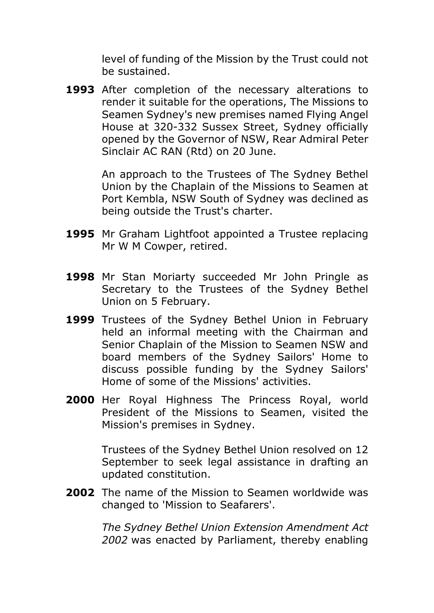level of funding of the Mission by the Trust could not be sustained.

**1993** After completion of the necessary alterations to render it suitable for the operations, The Missions to Seamen Sydney's new premises named Flying Angel House at 320-332 Sussex Street, Sydney officially opened by the Governor of NSW, Rear Admiral Peter Sinclair AC RAN (Rtd) on 20 June.

> An approach to the Trustees of The Sydney Bethel Union by the Chaplain of the Missions to Seamen at Port Kembla, NSW South of Sydney was declined as being outside the Trust's charter.

- **1995** Mr Graham Lightfoot appointed a Trustee replacing Mr W M Cowper, retired.
- **1998** Mr Stan Moriarty succeeded Mr John Pringle as Secretary to the Trustees of the Sydney Bethel Union on 5 February.
- **1999** Trustees of the Sydney Bethel Union in February held an informal meeting with the Chairman and Senior Chaplain of the Mission to Seamen NSW and board members of the Sydney Sailors' Home to discuss possible funding by the Sydney Sailors' Home of some of the Missions' activities.
- **2000** Her Royal Highness The Princess Royal, world President of the Missions to Seamen, visited the Mission's premises in Sydney.

Trustees of the Sydney Bethel Union resolved on 12 September to seek legal assistance in drafting an updated constitution.

**2002** The name of the Mission to Seamen worldwide was changed to 'Mission to Seafarers'.

> *The Sydney Bethel Union Extension Amendment Act 2002* was enacted by Parliament, thereby enabling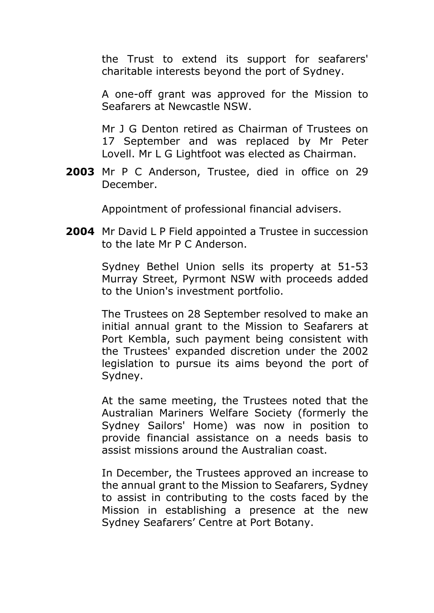the Trust to extend its support for seafarers' charitable interests beyond the port of Sydney.

A one-off grant was approved for the Mission to Seafarers at Newcastle NSW.

Mr J G Denton retired as Chairman of Trustees on 17 September and was replaced by Mr Peter Lovell. Mr L G Lightfoot was elected as Chairman.

**2003** Mr P C Anderson, Trustee, died in office on 29 December.

Appointment of professional financial advisers.

**2004** Mr David L P Field appointed a Trustee in succession to the late Mr P C Anderson.

> Sydney Bethel Union sells its property at 51-53 Murray Street, Pyrmont NSW with proceeds added to the Union's investment portfolio.

> The Trustees on 28 September resolved to make an initial annual grant to the Mission to Seafarers at Port Kembla, such payment being consistent with the Trustees' expanded discretion under the 2002 legislation to pursue its aims beyond the port of Sydney.

> At the same meeting, the Trustees noted that the Australian Mariners Welfare Society (formerly the Sydney Sailors' Home) was now in position to provide financial assistance on a needs basis to assist missions around the Australian coast.

> In December, the Trustees approved an increase to the annual grant to the Mission to Seafarers, Sydney to assist in contributing to the costs faced by the Mission in establishing a presence at the new Sydney Seafarers' Centre at Port Botany.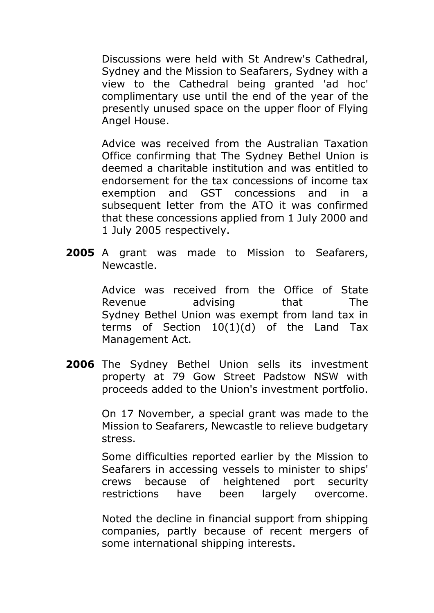Discussions were held with St Andrew's Cathedral, Sydney and the Mission to Seafarers, Sydney with a view to the Cathedral being granted 'ad hoc' complimentary use until the end of the year of the presently unused space on the upper floor of Flying Angel House.

Advice was received from the Australian Taxation Office confirming that The Sydney Bethel Union is deemed a charitable institution and was entitled to endorsement for the tax concessions of income tax exemption and GST concessions and in a subsequent letter from the ATO it was confirmed that these concessions applied from 1 July 2000 and 1 July 2005 respectively.

**2005** A grant was made to Mission to Seafarers, Newcastle.

> Advice was received from the Office of State Revenue advising that The Sydney Bethel Union was exempt from land tax in terms of Section 10(1)(d) of the Land Tax Management Act.

**2006** The Sydney Bethel Union sells its investment property at 79 Gow Street Padstow NSW with proceeds added to the Union's investment portfolio.

> On 17 November, a special grant was made to the Mission to Seafarers, Newcastle to relieve budgetary stress.

> Some difficulties reported earlier by the Mission to Seafarers in accessing vessels to minister to ships' crews because of heightened port security restrictions have been largely overcome.

> Noted the decline in financial support from shipping companies, partly because of recent mergers of some international shipping interests.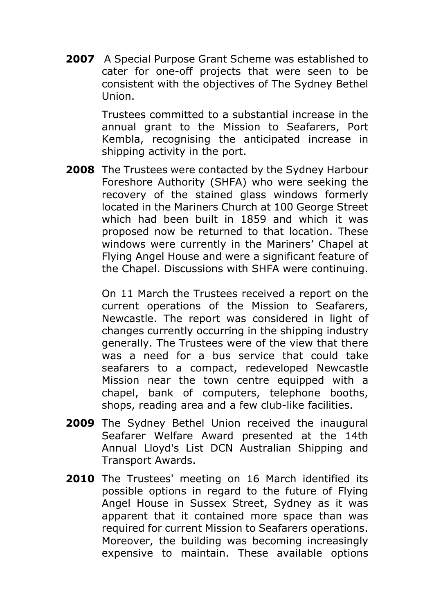**2007** A Special Purpose Grant Scheme was established to cater for one-off projects that were seen to be consistent with the objectives of The Sydney Bethel Union.

> Trustees committed to a substantial increase in the annual grant to the Mission to Seafarers, Port Kembla, recognising the anticipated increase in shipping activity in the port.

**2008** The Trustees were contacted by the Sydney Harbour Foreshore Authority (SHFA) who were seeking the recovery of the stained glass windows formerly located in the Mariners Church at 100 George Street which had been built in 1859 and which it was proposed now be returned to that location. These windows were currently in the Mariners' Chapel at Flying Angel House and were a significant feature of the Chapel. Discussions with SHFA were continuing.

> On 11 March the Trustees received a report on the current operations of the Mission to Seafarers, Newcastle. The report was considered in light of changes currently occurring in the shipping industry generally. The Trustees were of the view that there was a need for a bus service that could take seafarers to a compact, redeveloped Newcastle Mission near the town centre equipped with a chapel, bank of computers, telephone booths, shops, reading area and a few club-like facilities.

- **2009** The Sydney Bethel Union received the inaugural Seafarer Welfare Award presented at the 14th Annual Lloyd's List DCN Australian Shipping and Transport Awards.
- **2010** The Trustees' meeting on 16 March identified its possible options in regard to the future of Flying Angel House in Sussex Street, Sydney as it was apparent that it contained more space than was required for current Mission to Seafarers operations. Moreover, the building was becoming increasingly expensive to maintain. These available options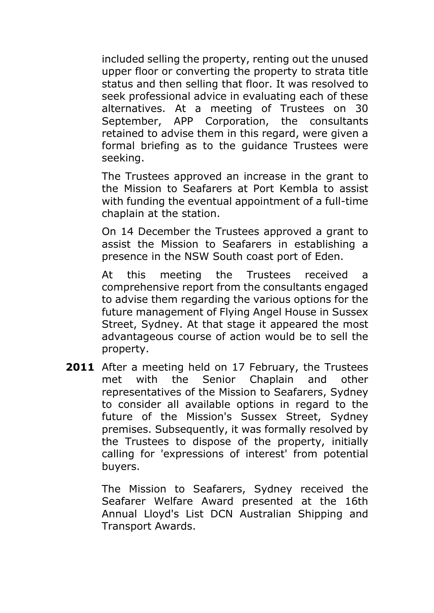included selling the property, renting out the unused upper floor or converting the property to strata title status and then selling that floor. It was resolved to seek professional advice in evaluating each of these alternatives. At a meeting of Trustees on 30 September, APP Corporation, the consultants retained to advise them in this regard, were given a formal briefing as to the guidance Trustees were seeking.

The Trustees approved an increase in the grant to the Mission to Seafarers at Port Kembla to assist with funding the eventual appointment of a full-time chaplain at the station.

On 14 December the Trustees approved a grant to assist the Mission to Seafarers in establishing a presence in the NSW South coast port of Eden.

At this meeting the Trustees received a comprehensive report from the consultants engaged to advise them regarding the various options for the future management of Flying Angel House in Sussex Street, Sydney. At that stage it appeared the most advantageous course of action would be to sell the property.

**2011** After a meeting held on 17 February, the Trustees met with the Senior Chaplain and other representatives of the Mission to Seafarers, Sydney to consider all available options in regard to the future of the Mission's Sussex Street, Sydney premises. Subsequently, it was formally resolved by the Trustees to dispose of the property, initially calling for 'expressions of interest' from potential buyers.

> The Mission to Seafarers, Sydney received the Seafarer Welfare Award presented at the 16th Annual Lloyd's List DCN Australian Shipping and Transport Awards.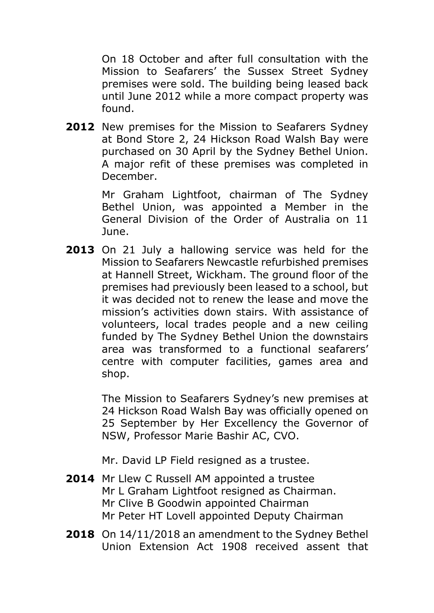On 18 October and after full consultation with the Mission to Seafarers' the Sussex Street Sydney premises were sold. The building being leased back until June 2012 while a more compact property was found.

**2012** New premises for the Mission to Seafarers Sydney at Bond Store 2, 24 Hickson Road Walsh Bay were purchased on 30 April by the Sydney Bethel Union. A major refit of these premises was completed in December.

> Mr Graham Lightfoot, chairman of The Sydney Bethel Union, was appointed a Member in the General Division of the Order of Australia on 11 June.

**2013** On 21 July a hallowing service was held for the Mission to Seafarers Newcastle refurbished premises at Hannell Street, Wickham. The ground floor of the premises had previously been leased to a school, but it was decided not to renew the lease and move the mission's activities down stairs. With assistance of volunteers, local trades people and a new ceiling funded by The Sydney Bethel Union the downstairs area was transformed to a functional seafarers' centre with computer facilities, games area and shop.

> The Mission to Seafarers Sydney's new premises at 24 Hickson Road Walsh Bay was officially opened on 25 September by Her Excellency the Governor of NSW, Professor Marie Bashir AC, CVO.

Mr. David LP Field resigned as a trustee.

- **2014** Mr Llew C Russell AM appointed a trustee Mr L Graham Lightfoot resigned as Chairman. Mr Clive B Goodwin appointed Chairman Mr Peter HT Lovell appointed Deputy Chairman
- **2018** On 14/11/2018 an amendment to the Sydney Bethel Union Extension Act 1908 received assent that